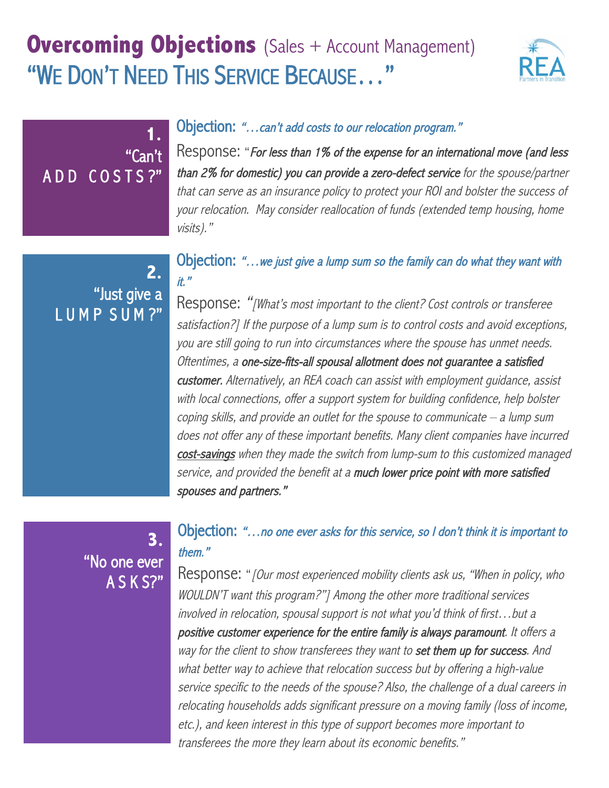# **Overcoming Objections** (Sales + Account Management) "WE DON'T NEED THIS SERVICE BECAUSE…"



### Objection: "…can't add costs to our relocation program."

Response: "For less than 1% of the expense for an international move (and less than 2% for domestic) you can provide a zero-defect service for the spouse/partner that can serve as an insurance policy to protect your ROI and bolster the success of your relocation. May consider reallocation of funds (extended temp housing, home visits)."

## **2.**  "Just give a LUMP SUM?"

A D D C O S T S ?"

**1.**

"Can't

### Objection: "…we just give a lump sum so the family can do what they want with it."

Response: "[What's most important to the client? Cost controls or transferee satisfaction?] If the purpose of a lump sum is to control costs and avoid exceptions, you are still going to run into circumstances where the spouse has unmet needs. Oftentimes, a one-size-fits-all spousal allotment does not guarantee a satisfied customer. Alternatively, an REA coach can assist with employment guidance, assist with local connections, offer a support system for building confidence, help bolster coping skills, and provide an outlet for the spouse to communicate – a lump sum does not offer any of these important benefits. Many client companies have incurred cost-savings when they made the switch from lump-sum to this customized managed service, and provided the benefit at a much lower price point with more satisfied spouses and partners."

## **3.**  "No one ever A S K S?"

## Objection: "…no one ever asks for this service, so I don't think it is important to them."

Response: "*[Our most experienced mobility clients ask us, "When in policy, who* WOULDN'T want this program?"] Among the other more traditional services involved in relocation, spousal support is not what you'd think of first…but a positive customer experience for the entire family is always paramount. It offers a way for the client to show transferees they want to set them up for success. And what better way to achieve that relocation success but by offering a high-value service specific to the needs of the spouse? Also, the challenge of a dual careers in relocating households adds significant pressure on a moving family (loss of income, etc.), and keen interest in this type of support becomes more important to transferees the more they learn about its economic benefits."